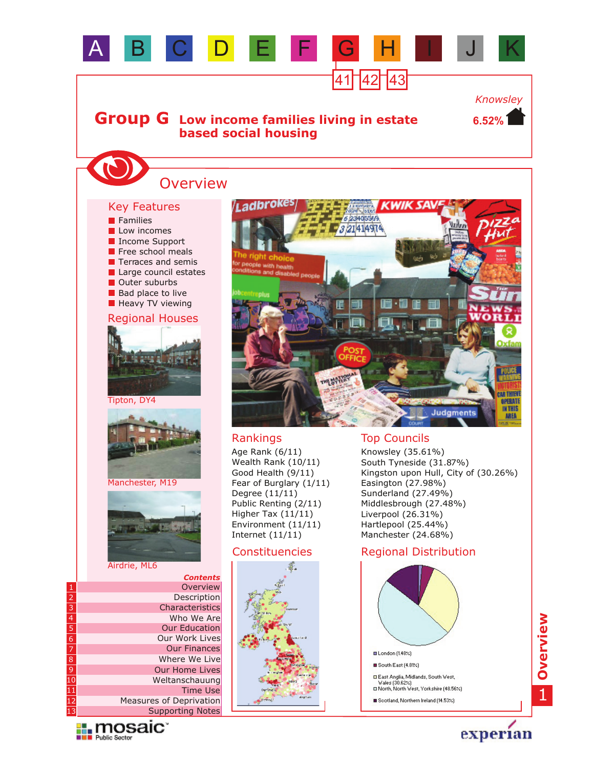

Weltanschauung Supporting Notes Measures of Deprivation Time Use

Our Home Lives



experian

South East (4.81%)

□ East Anglia, Midlands, South West,<br>Wales (30.62%)<br>□ North, North West, Yorkshire (48.56%) Scotland, Northern Ireland (14.53%)

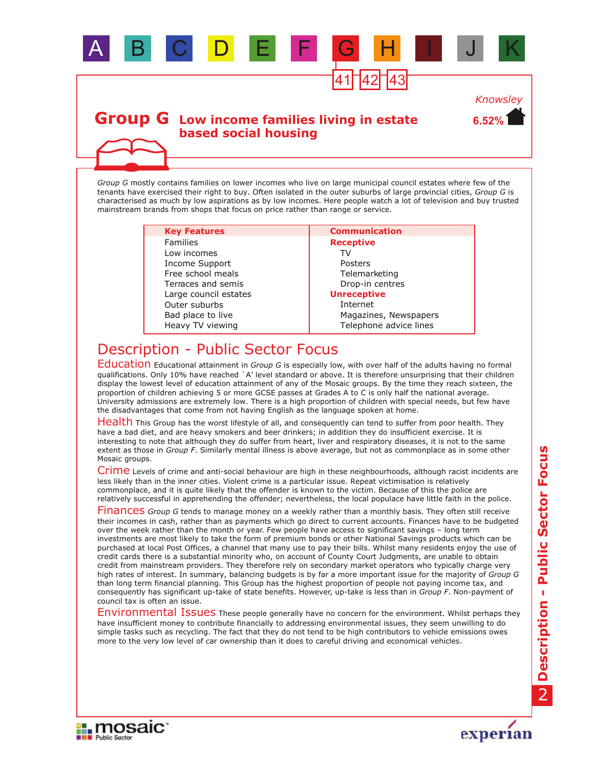

*Group G* mostly contains families on lower incomes who live on large municipal council estates where few of the tenants have exercised their right to buy. Often isolated in the outer suburbs of large provincial cities, *Group G* is characterised as much by low aspirations as by low incomes. Here people watch a lot of television and buy trusted mainstream brands from shops that focus on price rather than range or service.

A B C D E F G H I J K

41 42 43

**6.52%**

*Knowsley*

| <b>Key Features</b>   | <b>Communication</b>   |
|-----------------------|------------------------|
| <b>Families</b>       | <b>Receptive</b>       |
| Low incomes           | T۷                     |
| Income Support        | Posters                |
| Free school meals     | Telemarketing          |
| Terraces and semis    | Drop-in centres        |
| Large council estates | <b>Unreceptive</b>     |
| Outer suburbs         | Internet               |
| Bad place to live     | Magazines, Newspapers  |
| Heavy TV viewing      | Telephone advice lines |

## Description - Public Sector Focus

Education Educational attainment in *Group G* is especially low, with over half of the adults having no formal qualifications. Only 10% have reached `A' level standard or above. It is therefore unsurprising that their children display the lowest level of education attainment of any of the Mosaic groups. By the time they reach sixteen, the proportion of children achieving 5 or more GCSE passes at Grades A to C is only half the national average. University admissions are extremely low. There is a high proportion of children with special needs, but few have the disadvantages that come from not having English as the language spoken at home.

Health This Group has the worst lifestyle of all, and consequently can tend to suffer from poor health. They have a bad diet, and are heavy smokers and beer drinkers; in addition they do insufficient exercise. It is interesting to note that although they do suffer from heart, liver and respiratory diseases, it is not to the same extent as those in *Group F*. Similarly mental illness is above average, but not as commonplace as in some other Mosaic groups.

Crime Levels of crime and anti-social behaviour are high in these neighbourhoods, although racist incidents are less likely than in the inner cities. Violent crime is a particular issue. Repeat victimisation is relatively commonplace, and it is quite likely that the offender is known to the victim. Because of this the police are relatively successful in apprehending the offender; nevertheless, the local populace have little faith in the police.

Finances Group G tends to manage money on a weekly rather than a monthly basis. They often still receive their incomes in cash, rather than as payments which go direct to current accounts. Finances have to be budgeted over the week rather than the month or year. Few people have access to significant savings – long term investments are most likely to take the form of premium bonds or other National Savings products which can be purchased at local Post Offices, a channel that many use to pay their bills. Whilst many residents enjoy the use of credit cards there is a substantial minority who, on account of County Court Judgments, are unable to obtain credit from mainstream providers. They therefore rely on secondary market operators who typically charge very high rates of interest. In summary, balancing budgets is by far a more important issue for the majority of *Group G* than long term financial planning. This Group has the highest proportion of people not paying income tax, and consequently has significant up-take of state benefits. However, up-take is less than in *Group F*. Non-payment of council tax is often an issue.

Environmental Issues These people generally have no concern for the environment. Whilst perhaps they have insufficient money to contribute financially to addressing environmental issues, they seem unwilling to do simple tasks such as recycling. The fact that they do not tend to be high contributors to vehicle emissions owes more to the very low level of car ownership than it does to careful driving and economical vehicles.



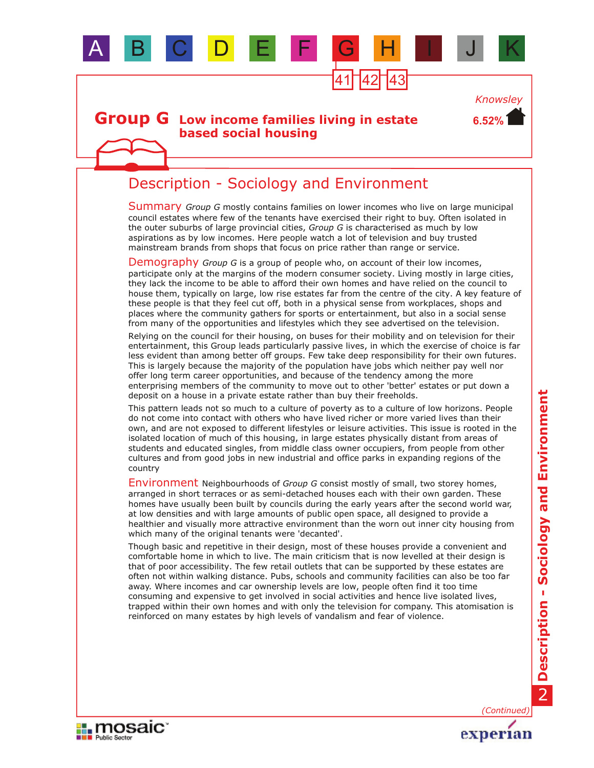

**II.** mosaic

**BU Public Sector** 

**Description - Sociology and Environment** Description - Sociology and Environment

experian